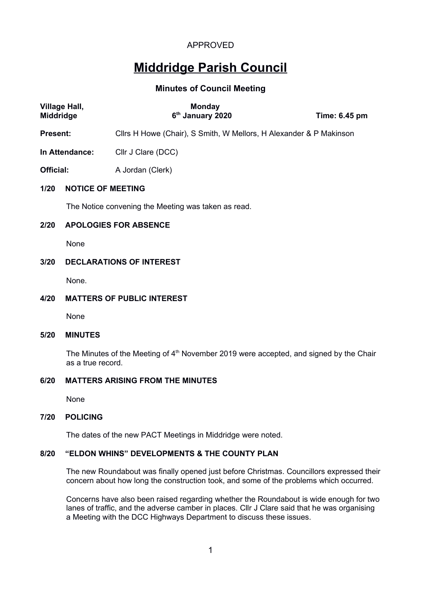# **Middridge Parish Council**

## **Minutes of Council Meeting**

| Village Hall,<br>Middridge |                                                     | <b>Monday</b><br>6 <sup>th</sup> January 2020                      | Time: 6.45 pm |  |  |
|----------------------------|-----------------------------------------------------|--------------------------------------------------------------------|---------------|--|--|
| Present:                   |                                                     | Cllrs H Howe (Chair), S Smith, W Mellors, H Alexander & P Makinson |               |  |  |
| In Attendance:             |                                                     | Cllr J Clare (DCC)                                                 |               |  |  |
| Official:                  |                                                     | A Jordan (Clerk)                                                   |               |  |  |
| 1/20                       | <b>NOTICE OF MEETING</b>                            |                                                                    |               |  |  |
|                            | The Notice convening the Meeting was taken as read. |                                                                    |               |  |  |
| 2/20                       | <b>APOLOGIES FOR ABSENCE</b>                        |                                                                    |               |  |  |
|                            | None                                                |                                                                    |               |  |  |
| 3/20                       | <b>DECLARATIONS OF INTEREST</b>                     |                                                                    |               |  |  |
|                            | None.                                               |                                                                    |               |  |  |
| 4/20                       |                                                     | <b>MATTERS OF PUBLIC INTEREST</b>                                  |               |  |  |
|                            | None                                                |                                                                    |               |  |  |

#### **5/20 MINUTES**

The Minutes of the Meeting of 4<sup>th</sup> November 2019 were accepted, and signed by the Chair as a true record.

#### **6/20 MATTERS ARISING FROM THE MINUTES**

None

#### **7/20 POLICING**

The dates of the new PACT Meetings in Middridge were noted.

## **8/20 "ELDON WHINS" DEVELOPMENTS & THE COUNTY PLAN**

The new Roundabout was finally opened just before Christmas. Councillors expressed their concern about how long the construction took, and some of the problems which occurred.

Concerns have also been raised regarding whether the Roundabout is wide enough for two lanes of traffic, and the adverse camber in places. Cllr J Clare said that he was organising a Meeting with the DCC Highways Department to discuss these issues.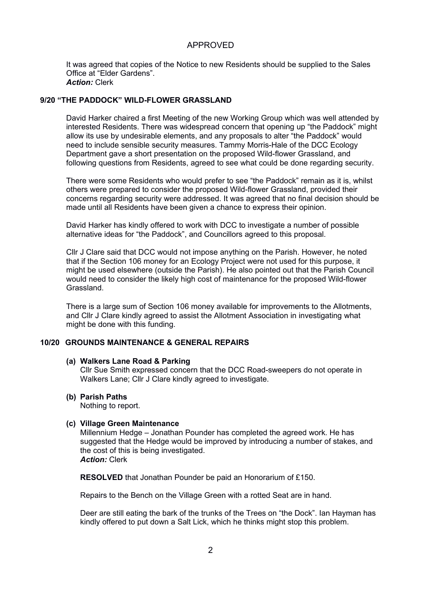It was agreed that copies of the Notice to new Residents should be supplied to the Sales Office at "Elder Gardens". *Action:* Clerk

#### **9/20 "THE PADDOCK" WILD-FLOWER GRASSLAND**

David Harker chaired a first Meeting of the new Working Group which was well attended by interested Residents. There was widespread concern that opening up "the Paddock" might allow its use by undesirable elements, and any proposals to alter "the Paddock" would need to include sensible security measures. Tammy Morris-Hale of the DCC Ecology Department gave a short presentation on the proposed Wild-flower Grassland, and following questions from Residents, agreed to see what could be done regarding security.

There were some Residents who would prefer to see "the Paddock" remain as it is, whilst others were prepared to consider the proposed Wild-flower Grassland, provided their concerns regarding security were addressed. It was agreed that no final decision should be made until all Residents have been given a chance to express their opinion.

David Harker has kindly offered to work with DCC to investigate a number of possible alternative ideas for "the Paddock", and Councillors agreed to this proposal.

Cllr J Clare said that DCC would not impose anything on the Parish. However, he noted that if the Section 106 money for an Ecology Project were not used for this purpose, it might be used elsewhere (outside the Parish). He also pointed out that the Parish Council would need to consider the likely high cost of maintenance for the proposed Wild-flower Grassland.

There is a large sum of Section 106 money available for improvements to the Allotments, and Cllr J Clare kindly agreed to assist the Allotment Association in investigating what might be done with this funding.

#### **10/20 GROUNDS MAINTENANCE & GENERAL REPAIRS**

#### **(a) Walkers Lane Road & Parking**

Cllr Sue Smith expressed concern that the DCC Road-sweepers do not operate in Walkers Lane; Cllr J Clare kindly agreed to investigate.

**(b) Parish Paths**

Nothing to report.

#### **(c) Village Green Maintenance**

Millennium Hedge – Jonathan Pounder has completed the agreed work. He has suggested that the Hedge would be improved by introducing a number of stakes, and the cost of this is being investigated. *Action:* Clerk

**RESOLVED** that Jonathan Pounder be paid an Honorarium of £150.

Repairs to the Bench on the Village Green with a rotted Seat are in hand.

Deer are still eating the bark of the trunks of the Trees on "the Dock". Ian Hayman has kindly offered to put down a Salt Lick, which he thinks might stop this problem.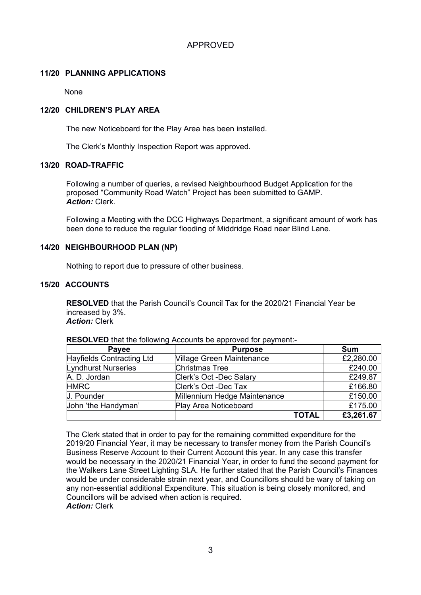#### **11/20 PLANNING APPLICATIONS**

None

## **12/20 CHILDREN'S PLAY AREA**

The new Noticeboard for the Play Area has been installed.

The Clerk's Monthly Inspection Report was approved.

#### **13/20 ROAD-TRAFFIC**

Following a number of queries, a revised Neighbourhood Budget Application for the proposed "Community Road Watch" Project has been submitted to GAMP. *Action:* Clerk.

Following a Meeting with the DCC Highways Department, a significant amount of work has been done to reduce the regular flooding of Middridge Road near Blind Lane.

#### **14/20 NEIGHBOURHOOD PLAN (NP)**

Nothing to report due to pressure of other business.

#### **15/20 ACCOUNTS**

**RESOLVED** that the Parish Council's Council Tax for the 2020/21 Financial Year be increased by 3%. *Action:* Clerk

| Payee                     | <b>Purpose</b>                   |              | <b>Sum</b> |
|---------------------------|----------------------------------|--------------|------------|
| Hayfields Contracting Ltd | <b>Village Green Maintenance</b> |              | £2,280.00  |
| Lyndhurst Nurseries       | <b>Christmas Tree</b>            |              | £240.00    |
| A. D. Jordan              | Clerk's Oct -Dec Salary          |              | £249.87    |
| <b>HMRC</b>               | Clerk's Oct -Dec Tax             |              | £166.80    |
| J. Pounder                | Millennium Hedge Maintenance     |              | £150.00    |
| John 'the Handyman'       | Play Area Noticeboard            |              | £175.00    |
|                           |                                  | <b>TOTAL</b> | £3,261.67  |

**RESOLVED** that the following Accounts be approved for payment:-

The Clerk stated that in order to pay for the remaining committed expenditure for the 2019/20 Financial Year, it may be necessary to transfer money from the Parish Council's Business Reserve Account to their Current Account this year. In any case this transfer would be necessary in the 2020/21 Financial Year, in order to fund the second payment for the Walkers Lane Street Lighting SLA. He further stated that the Parish Council's Finances would be under considerable strain next year, and Councillors should be wary of taking on any non-essential additional Expenditure. This situation is being closely monitored, and Councillors will be advised when action is required. *Action:* Clerk